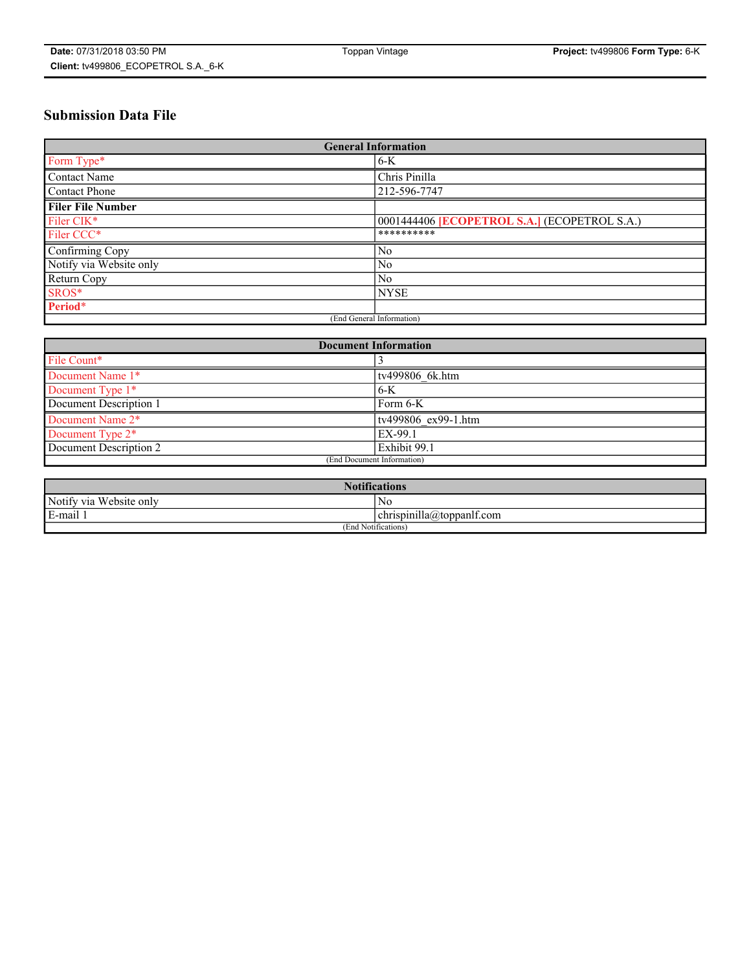# **Submission Data File**

| <b>General Information</b> |                                                     |
|----------------------------|-----------------------------------------------------|
| Form Type*                 | $6-K$                                               |
| Contact Name               | Chris Pinilla                                       |
| <b>Contact Phone</b>       | 212-596-7747                                        |
| <b>Filer File Number</b>   |                                                     |
| Filer CIK*                 | 0001444406 <b>ECOPETROL S.A.</b> ] (ECOPETROL S.A.) |
| Filer CCC*                 | **********                                          |
| Confirming Copy            | N <sub>0</sub>                                      |
| Notify via Website only    | N <sub>0</sub>                                      |
| Return Copy                | N <sub>0</sub>                                      |
| SROS*                      | <b>NYSE</b>                                         |
| Period*                    |                                                     |
| (End General Information)  |                                                     |

| <b>Document Information</b> |                     |
|-----------------------------|---------------------|
| File Count*                 |                     |
| Document Name 1*            | tv499806 6k.htm     |
| Document Type 1*            | $6-K$               |
| Document Description 1      | Form 6-K            |
| Document Name 2*            | tv499806 ex99-1.htm |
| Document Type 2*            | EX-99.1             |
| Document Description 2      | Exhibit 99.1        |
| (End Document Information)  |                     |

| <b>Notifications</b>       |                                 |  |
|----------------------------|---------------------------------|--|
| Notify via<br>Website only | N <sub>0</sub>                  |  |
| $E$ -mail 1                | <br>chrispinilla(a)toppanif.com |  |
| (End Notifications)        |                                 |  |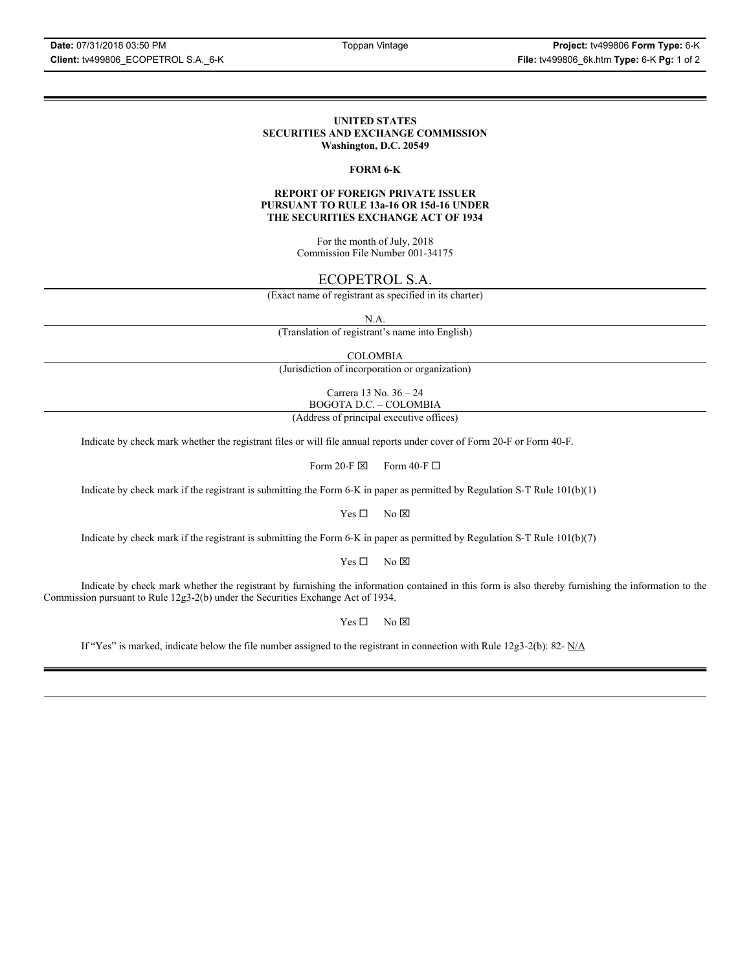### **UNITED STATES SECURITIES AND EXCHANGE COMMISSION Washington, D.C. 20549**

# **FORM 6-K**

## **REPORT OF FOREIGN PRIVATE ISSUER PURSUANT TO RULE 13a-16 OR 15d-16 UNDER THE SECURITIES EXCHANGE ACT OF 1934**

For the month of July, 2018 Commission File Number 001-34175

# ECOPETROL S.A.

(Exact name of registrant as specified in its charter)

N.A.

(Translation of registrant's name into English)

COLOMBIA

(Jurisdiction of incorporation or organization)

Carrera 13 No. 36 – 24 BOGOTA D.C. – COLOMBIA

(Address of principal executive offices)

Indicate by check mark whether the registrant files or will file annual reports under cover of Form 20-F or Form 40-F.

Form 20-F  $\boxtimes$  Form 40-F  $\Box$ 

Indicate by check mark if the registrant is submitting the Form 6-K in paper as permitted by Regulation S-T Rule 101(b)(1)

 $Yes \Box$  No  $\boxtimes$ 

Indicate by check mark if the registrant is submitting the Form 6-K in paper as permitted by Regulation S-T Rule 101(b)(7)

 $Yes \Box$  No  $\boxtimes$ 

Indicate by check mark whether the registrant by furnishing the information contained in this form is also thereby furnishing the information to the Commission pursuant to Rule 12g3-2(b) under the Securities Exchange Act of 1934.

 $Yes \Box$  No  $\boxtimes$ 

If "Yes" is marked, indicate below the file number assigned to the registrant in connection with Rule 12g3-2(b): 82-  $N/A$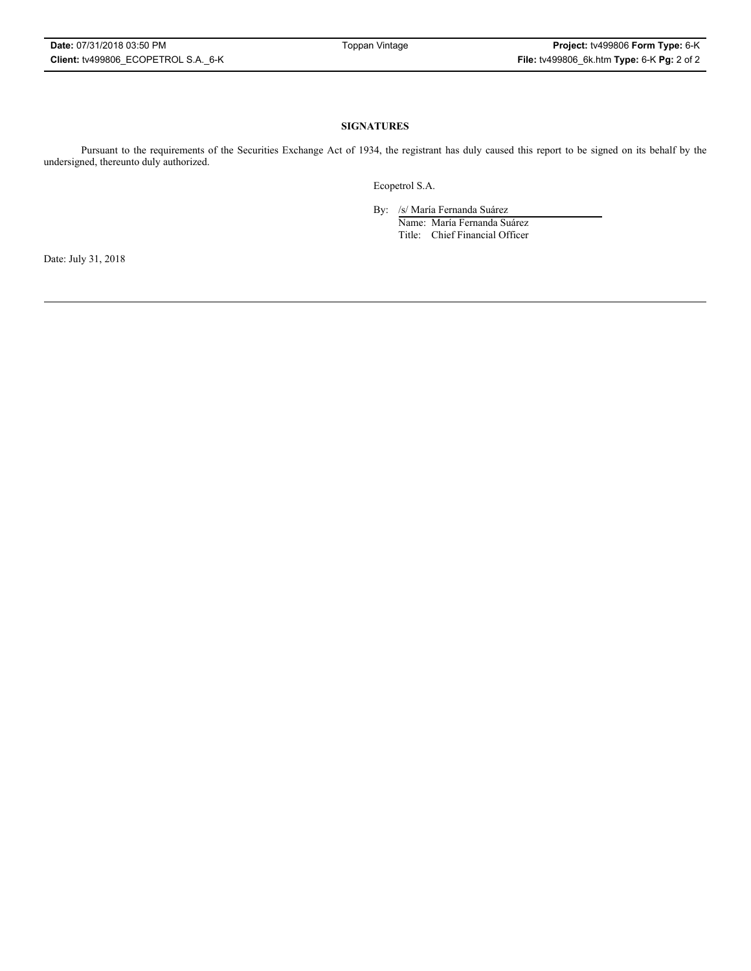# **SIGNATURES**

Pursuant to the requirements of the Securities Exchange Act of 1934, the registrant has duly caused this report to be signed on its behalf by the undersigned, thereunto duly authorized.

Ecopetrol S.A.

By: /s/ María Fernanda Suárez

Name: María Fernanda Suárez Title: Chief Financial Officer

Date: July 31, 2018